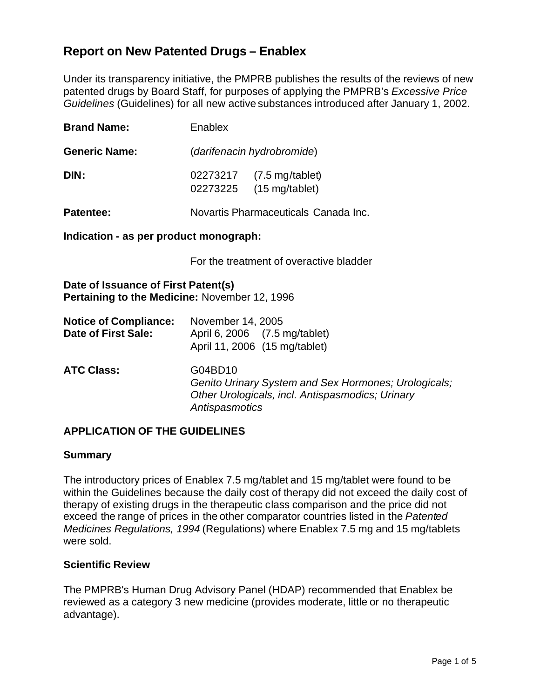# **Report on New Patented Drugs – Enablex**

Under its transparency initiative, the PMPRB publishes the results of the reviews of new patented drugs by Board Staff, for purposes of applying the PMPRB's *Excessive Price Guidelines* (Guidelines) for all new active substances introduced after January 1, 2002.

| <b>Brand Name:</b>   | Enablex                                                                     |  |  |
|----------------------|-----------------------------------------------------------------------------|--|--|
| <b>Generic Name:</b> | (darifenacin hydrobromide)                                                  |  |  |
| DIN:                 | $(7.5 \text{ mg/table})$<br>02273217<br>02273225<br>$(15 \text{ mg/table})$ |  |  |
| <b>Patentee:</b>     | Novartis Pharmaceuticals Canada Inc.                                        |  |  |

**Indication - as per product monograph:**

For the treatment of overactive bladder

**Date of Issuance of First Patent(s) Pertaining to the Medicine:** November 12, 1996

| <b>Notice of Compliance:</b><br>Date of First Sale: | November 14, 2005<br>April 6, 2006 (7.5 mg/tablet)<br>April 11, 2006 (15 mg/tablet)                                                   |
|-----------------------------------------------------|---------------------------------------------------------------------------------------------------------------------------------------|
| <b>ATC Class:</b>                                   | G04BD10<br>Genito Urinary System and Sex Hormones; Urologicals;<br>Other Urologicals, incl. Antispasmodics; Urinary<br>Antispasmotics |

#### **APPLICATION OF THE GUIDELINES**

#### **Summary**

The introductory prices of Enablex 7.5 mg/tablet and 15 mg/tablet were found to be within the Guidelines because the daily cost of therapy did not exceed the daily cost of therapy of existing drugs in the therapeutic class comparison and the price did not exceed the range of prices in the other comparator countries listed in the *Patented Medicines Regulations, 1994* (Regulations) where Enablex 7.5 mg and 15 mg/tablets were sold.

#### **Scientific Review**

The PMPRB's Human Drug Advisory Panel (HDAP) recommended that Enablex be reviewed as a category 3 new medicine (provides moderate, little or no therapeutic advantage).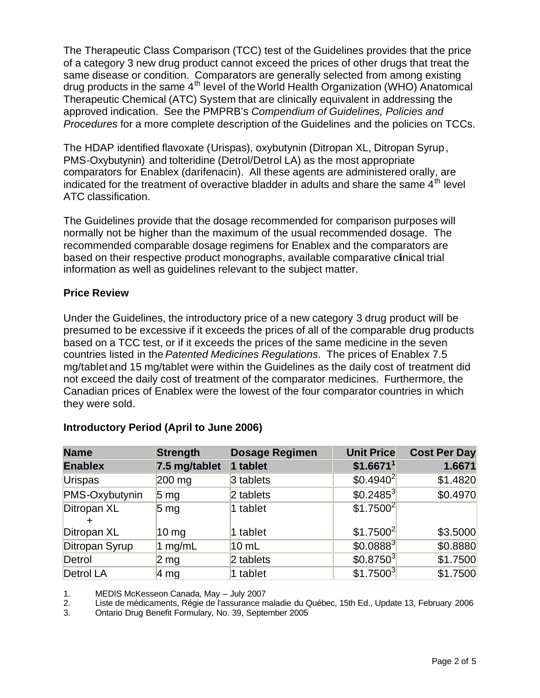The Therapeutic Class Comparison (TCC) test of the Guidelines provides that the price of a category 3 new drug product cannot exceed the prices of other drugs that treat the same disease or condition. Comparators are generally selected from among existing drug products in the same  $4<sup>th</sup>$  level of the World Health Organization (WHO) Anatomical Therapeutic Chemical (ATC) System that are clinically equivalent in addressing the approved indication. See the PMPRB's *Compendium of Guidelines, Policies and Procedures* for a more complete description of the Guidelines and the policies on TCCs.

The HDAP identified flavoxate (Urispas), oxybutynin (Ditropan XL, Ditropan Syrup, PMS-Oxybutynin) and tolteridine (Detrol/Detrol LA) as the most appropriate comparators for Enablex (darifenacin). All these agents are administered orally, are indicated for the treatment of overactive bladder in adults and share the same  $4<sup>th</sup>$  level ATC classification.

The Guidelines provide that the dosage recommended for comparison purposes will normally not be higher than the maximum of the usual recommended dosage. The recommended comparable dosage regimens for Enablex and the comparators are based on their respective product monographs, available comparative clinical trial information as well as guidelines relevant to the subject matter.

# **Price Review**

Under the Guidelines, the introductory price of a new category 3 drug product will be presumed to be excessive if it exceeds the prices of all of the comparable drug products based on a TCC test, or if it exceeds the prices of the same medicine in the seven countries listed in the *Patented Medicines Regulations*. The prices of Enablex 7.5 mg/tablet and 15 mg/tablet were within the Guidelines as the daily cost of treatment did not exceed the daily cost of treatment of the comparator medicines. Furthermore, the Canadian prices of Enablex were the lowest of the four comparator countries in which they were sold.

| <b>Name</b>      | <b>Strength</b>    | <b>Dosage Regimen</b> | <b>Unit Price</b>      | <b>Cost Per Day</b> |
|------------------|--------------------|-----------------------|------------------------|---------------------|
| <b>Enablex</b>   | 7.5 mg/tablet      | 1 tablet              | $$1.6671$ <sup>1</sup> | 1.6671              |
| <b>Urispas</b>   | $200 \text{ mg}$   | 3 tablets             | $$0.4940^2$            | \$1.4820            |
| PMS-Oxybutynin   | 5 <sub>mg</sub>    | 2 tablets             | $$0.2485^3$            | \$0.4970            |
| Ditropan XL      | 5 <sub>mg</sub>    | 1 tablet              | $$1.7500^{2}$          |                     |
| Ditropan XL      | $10 \,\mathrm{mg}$ | 1 tablet              | \$1.7500 <sup>2</sup>  | \$3.5000            |
| Ditropan Syrup   | 1 mg/mL            | $10$ mL               | $$0.0888^3$            | \$0.8880            |
| Detrol           | $2 \text{ mg}$     | 2 tablets             | $$0.8750^3$            | \$1.7500            |
| <b>Detrol LA</b> | $4 \text{ mg}$     | 1 tablet              | $$1.7500^3$            | \$1.7500            |

### **Introductory Period (April to June 2006)**

1. MEDIS McKesseon Canada, May – July 2007

2. Liste de médicaments, Régie de l'assurance maladie du Québec, 15th Ed., Update 13, February 2006

3. Ontario Drug Benefit Formulary, No. 39, September 2005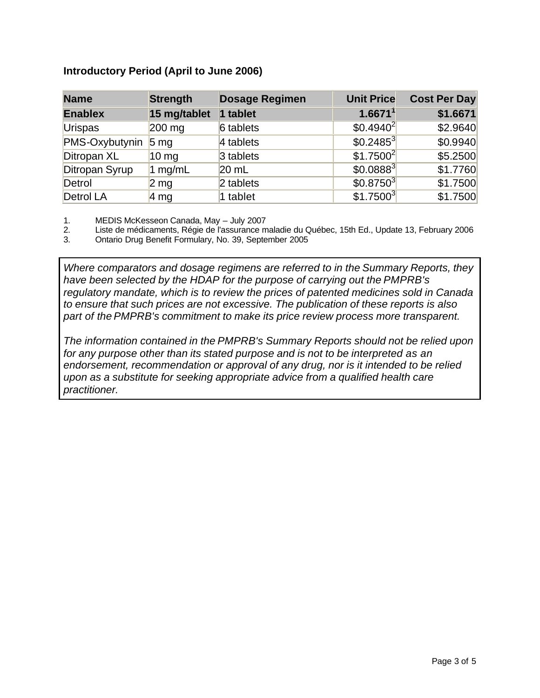# **Introductory Period (April to June 2006)**

| <b>Name</b>      | <b>Strength</b>  | <b>Dosage Regimen</b> | <b>Unit Price</b>     | <b>Cost Per Day</b> |
|------------------|------------------|-----------------------|-----------------------|---------------------|
| <b>Enablex</b>   | 15 mg/tablet     | 1 tablet              | 1.6671 <sup>1</sup>   | \$1.6671            |
| <b>Urispas</b>   | 200 mg           | 6 tablets             | $$0.4940^2$           | \$2.9640            |
| PMS-Oxybutynin   | 5 <sub>mg</sub>  | 4 tablets             | $$0.2485^3$           | \$0.9940            |
| Ditropan XL      | 10 <sub>mg</sub> | 3 tablets             | $$1.7500^{2}$         | \$5.2500            |
| Ditropan Syrup   | 1 mg/mL          | $20$ mL               | $$0.0888^3$           | \$1.7760            |
| Detrol           | $2 \text{ mg}$   | 2 tablets             | $$0.8750^3$           | \$1.7500            |
| <b>Detrol LA</b> | $4 \text{ mg}$   | 1 tablet              | \$1.7500 <sup>3</sup> | \$1.7500            |

1. MEDIS McKesseon Canada, May – July 2007

2. Liste de médicaments, Régie de l'assurance maladie du Québec, 15th Ed., Update 13, February 2006

3. Ontario Drug Benefit Formulary, No. 39, September 2005

*Where comparators and dosage regimens are referred to in the Summary Reports, they have been selected by the HDAP for the purpose of carrying out the PMPRB's regulatory mandate, which is to review the prices of patented medicines sold in Canada to ensure that such prices are not excessive. The publication of these reports is also part of the PMPRB's commitment to make its price review process more transparent.* 

*The information contained in the PMPRB's Summary Reports should not be relied upon for any purpose other than its stated purpose and is not to be interpreted as an endorsement, recommendation or approval of any drug, nor is it intended to be relied upon as a substitute for seeking appropriate advice from a qualified health care practitioner.*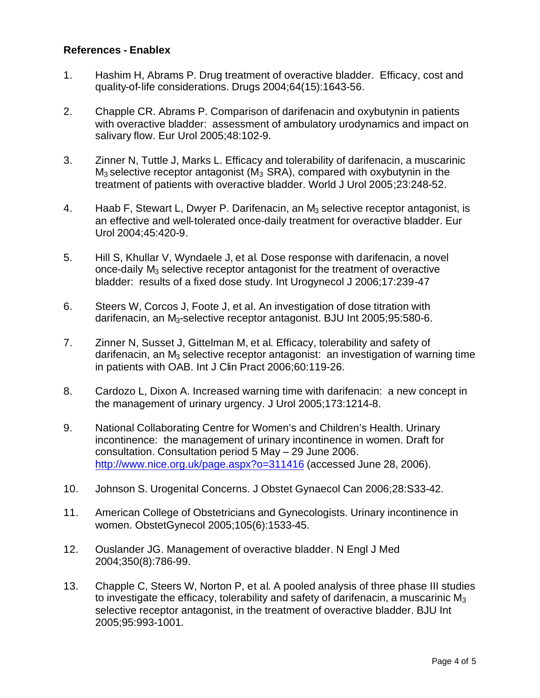#### **References - Enablex**

- 1. Hashim H, Abrams P. Drug treatment of overactive bladder. Efficacy, cost and quality-of-life considerations. Drugs 2004;64(15):1643-56.
- 2. Chapple CR. Abrams P. Comparison of darifenacin and oxybutynin in patients with overactive bladder: assessment of ambulatory urodynamics and impact on salivary flow. Eur Urol 2005;48:102-9.
- 3. Zinner N, Tuttle J, Marks L. Efficacy and tolerability of darifenacin, a muscarinic  $M_3$  selective receptor antagonist ( $M_3$  SRA), compared with oxybutynin in the treatment of patients with overactive bladder. World J Urol 2005;23:248-52.
- 4. Haab F, Stewart L, Dwyer P. Darifenacin, an  $M_3$  selective receptor antagonist, is an effective and well-tolerated once-daily treatment for overactive bladder. Eur Urol 2004;45:420-9.
- 5. Hill S, Khullar V, Wyndaele J, et al. Dose response with darifenacin, a novel once-daily  $M_3$  selective receptor antagonist for the treatment of overactive bladder: results of a fixed dose study. Int Urogynecol J 2006;17:239-47
- 6. Steers W, Corcos J, Foote J, et al. An investigation of dose titration with darifenacin, an M3-selective receptor antagonist. BJU Int 2005;95:580-6.
- 7. Zinner N, Susset J, Gittelman M, et al. Efficacy, tolerability and safety of darifenacin, an  $M_3$  selective receptor antagonist: an investigation of warning time in patients with OAB. Int J Clin Pract 2006;60:119-26.
- 8. Cardozo L, Dixon A. Increased warning time with darifenacin: a new concept in the management of urinary urgency. J Urol 2005;173:1214-8.
- 9. National Collaborating Centre for Women's and Children's Health. Urinary incontinence: the management of urinary incontinence in women. Draft for consultation. Consultation period 5 May – 29 June 2006. http://www.nice.org.uk/page.aspx?o=311416 (accessed June 28, 2006).
- 10. Johnson S. Urogenital Concerns. J Obstet Gynaecol Can 2006;28:S33-42.
- 11. American College of Obstetricians and Gynecologists. Urinary incontinence in women. ObstetGynecol 2005;105(6):1533-45.
- 12. Ouslander JG. Management of overactive bladder. N Engl J Med 2004;350(8):786-99.
- 13. Chapple C, Steers W, Norton P, et al. A pooled analysis of three phase III studies to investigate the efficacy, tolerability and safety of darifenacin, a muscarinic  $M_3$ selective receptor antagonist, in the treatment of overactive bladder. BJU Int 2005;95:993-1001*.*